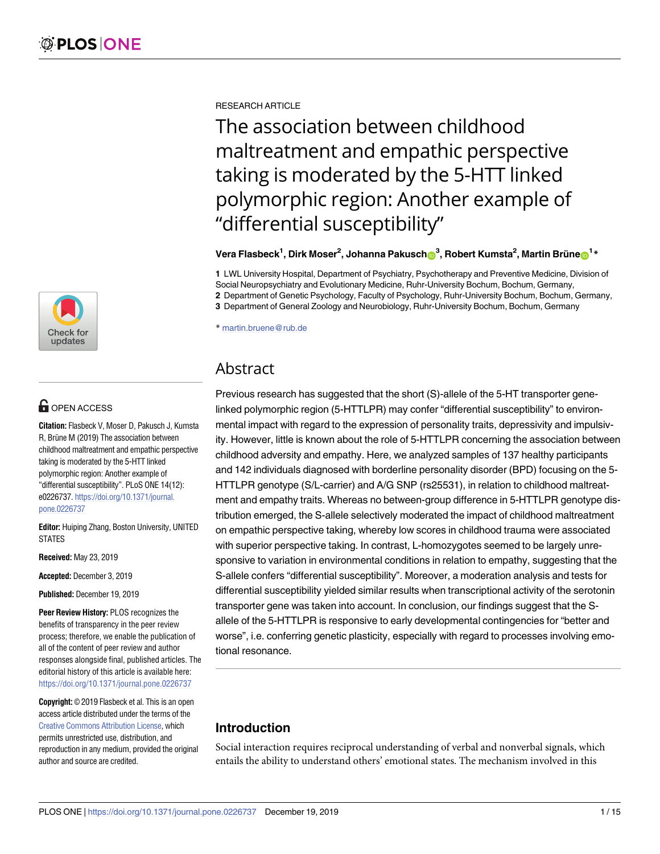

# $\blacksquare$  OPEN ACCESS

**Citation:** Flasbeck V, Moser D, Pakusch J, Kumsta R, Brüne M (2019) The association between childhood maltreatment and empathic perspective taking is moderated by the 5-HTT linked polymorphic region: Another example of "differential susceptibility". PLoS ONE 14(12): e0226737. [https://doi.org/10.1371/journal.](https://doi.org/10.1371/journal.pone.0226737) [pone.0226737](https://doi.org/10.1371/journal.pone.0226737)

**Editor:** Huiping Zhang, Boston University, UNITED STATES

**Received:** May 23, 2019

**Accepted:** December 3, 2019

**Published:** December 19, 2019

**Peer Review History:** PLOS recognizes the benefits of transparency in the peer review process; therefore, we enable the publication of all of the content of peer review and author responses alongside final, published articles. The editorial history of this article is available here: <https://doi.org/10.1371/journal.pone.0226737>

**Copyright:** © 2019 Flasbeck et al. This is an open access article distributed under the terms of the Creative Commons [Attribution](http://creativecommons.org/licenses/by/4.0/) License, which permits unrestricted use, distribution, and reproduction in any medium, provided the original author and source are credited.

RESEARCH ARTICLE

The association between childhood maltreatment and empathic perspective taking is moderated by the 5-HTT linked polymorphic region: Another example of "differential susceptibility"

 $\mathbf{V}$ era Flasbeck<sup>1</sup>, Dirk Moser<sup>2</sup>, Johanna Pakusch $\mathbf{O}^3$ , Robert Kumsta<sup>2</sup>, Martin Brüne $\mathbf{O}^{1\,*}$ 

**1** LWL University Hospital, Department of Psychiatry, Psychotherapy and Preventive Medicine, Division of Social Neuropsychiatry and Evolutionary Medicine, Ruhr-University Bochum, Bochum, Germany,

**2** Department of Genetic Psychology, Faculty of Psychology, Ruhr-University Bochum, Bochum, Germany,

**3** Department of General Zoology and Neurobiology, Ruhr-University Bochum, Bochum, Germany

\* martin.bruene@rub.de

## Abstract

Previous research has suggested that the short (S)-allele of the 5-HT transporter genelinked polymorphic region (5-HTTLPR) may confer "differential susceptibility" to environmental impact with regard to the expression of personality traits, depressivity and impulsivity. However, little is known about the role of 5-HTTLPR concerning the association between childhood adversity and empathy. Here, we analyzed samples of 137 healthy participants and 142 individuals diagnosed with borderline personality disorder (BPD) focusing on the 5- HTTLPR genotype (S/L-carrier) and A/G SNP (rs25531), in relation to childhood maltreatment and empathy traits. Whereas no between-group difference in 5-HTTLPR genotype distribution emerged, the S-allele selectively moderated the impact of childhood maltreatment on empathic perspective taking, whereby low scores in childhood trauma were associated with superior perspective taking. In contrast, L-homozygotes seemed to be largely unresponsive to variation in environmental conditions in relation to empathy, suggesting that the S-allele confers "differential susceptibility". Moreover, a moderation analysis and tests for differential susceptibility yielded similar results when transcriptional activity of the serotonin transporter gene was taken into account. In conclusion, our findings suggest that the Sallele of the 5-HTTLPR is responsive to early developmental contingencies for "better and worse", i.e. conferring genetic plasticity, especially with regard to processes involving emotional resonance.

## **Introduction**

Social interaction requires reciprocal understanding of verbal and nonverbal signals, which entails the ability to understand others' emotional states. The mechanism involved in this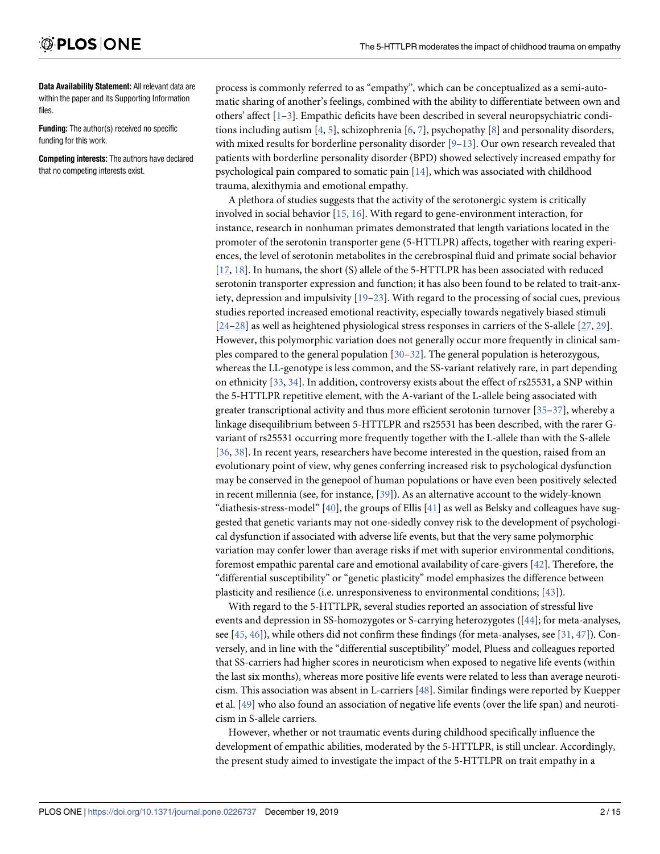<span id="page-1-0"></span>**Data Availability Statement:** All relevant data are within the paper and its Supporting Information files.

**Funding:** The author(s) received no specific funding for this work.

**Competing interests:** The authors have declared that no competing interests exist.

process is commonly referred to as "empathy", which can be conceptualized as a semi-automatic sharing of another's feelings, combined with the ability to differentiate between own and others' affect [\[1–3](#page-10-0)]. Empathic deficits have been described in several neuropsychiatric conditions including autism [\[4,](#page-10-0) [5](#page-11-0)], schizophrenia [\[6](#page-11-0), [7](#page-11-0)], psychopathy [\[8\]](#page-11-0) and personality disorders, with mixed results for borderline personality disorder [[9–13](#page-11-0)]. Our own research revealed that patients with borderline personality disorder (BPD) showed selectively increased empathy for psychological pain compared to somatic pain [\[14\]](#page-11-0), which was associated with childhood trauma, alexithymia and emotional empathy.

A plethora of studies suggests that the activity of the serotonergic system is critically involved in social behavior [\[15](#page-11-0), [16](#page-11-0)]. With regard to gene-environment interaction, for instance, research in nonhuman primates demonstrated that length variations located in the promoter of the serotonin transporter gene (5-HTTLPR) affects, together with rearing experiences, the level of serotonin metabolites in the cerebrospinal fluid and primate social behavior [\[17,](#page-11-0) [18\]](#page-11-0). In humans, the short (S) allele of the 5-HTTLPR has been associated with reduced serotonin transporter expression and function; it has also been found to be related to trait-anxiety, depression and impulsivity [[19](#page-11-0)–[23](#page-11-0)]. With regard to the processing of social cues, previous studies reported increased emotional reactivity, especially towards negatively biased stimuli  $[24–28]$  as well as heightened physiological stress responses in carriers of the S-allele  $[27, 29]$  $[27, 29]$  $[27, 29]$ . However, this polymorphic variation does not generally occur more frequently in clinical samples compared to the general population [[30–32\]](#page-12-0). The general population is heterozygous, whereas the LL-genotype is less common, and the SS-variant relatively rare, in part depending on ethnicity [\[33,](#page-12-0) [34\]](#page-12-0). In addition, controversy exists about the effect of rs25531, a SNP within the 5-HTTLPR repetitive element, with the A-variant of the L-allele being associated with greater transcriptional activity and thus more efficient serotonin turnover  $[35-37]$ , whereby a linkage disequilibrium between 5-HTTLPR and rs25531 has been described, with the rarer Gvariant of rs25531 occurring more frequently together with the L-allele than with the S-allele [\[36,](#page-12-0) [38\]](#page-12-0). In recent years, researchers have become interested in the question, raised from an evolutionary point of view, why genes conferring increased risk to psychological dysfunction may be conserved in the genepool of human populations or have even been positively selected in recent millennia (see, for instance, [\[39\]](#page-12-0)). As an alternative account to the widely-known "diathesis-stress-model" [\[40\]](#page-12-0), the groups of Ellis [[41\]](#page-12-0) as well as Belsky and colleagues have suggested that genetic variants may not one-sidedly convey risk to the development of psychological dysfunction if associated with adverse life events, but that the very same polymorphic variation may confer lower than average risks if met with superior environmental conditions, foremost empathic parental care and emotional availability of care-givers [\[42\]](#page-12-0). Therefore, the "differential susceptibility" or "genetic plasticity" model emphasizes the difference between plasticity and resilience (i.e. unresponsiveness to environmental conditions; [\[43\]](#page-12-0)).

With regard to the 5-HTTLPR, several studies reported an association of stressful live events and depression in SS-homozygotes or S-carrying heterozygotes ([[44](#page-13-0)]; for meta-analyses, see [[45](#page-13-0), [46](#page-13-0)]), while others did not confirm these findings (for meta-analyses, see [[31](#page-12-0), [47](#page-13-0)]). Conversely, and in line with the "differential susceptibility" model, Pluess and colleagues reported that SS-carriers had higher scores in neuroticism when exposed to negative life events (within the last six months), whereas more positive life events were related to less than average neuroticism. This association was absent in L-carriers [[48](#page-13-0)]. Similar findings were reported by Kuepper et al. [\[49\]](#page-13-0) who also found an association of negative life events (over the life span) and neuroticism in S-allele carriers.

However, whether or not traumatic events during childhood specifically influence the development of empathic abilities, moderated by the 5-HTTLPR, is still unclear. Accordingly, the present study aimed to investigate the impact of the 5-HTTLPR on trait empathy in a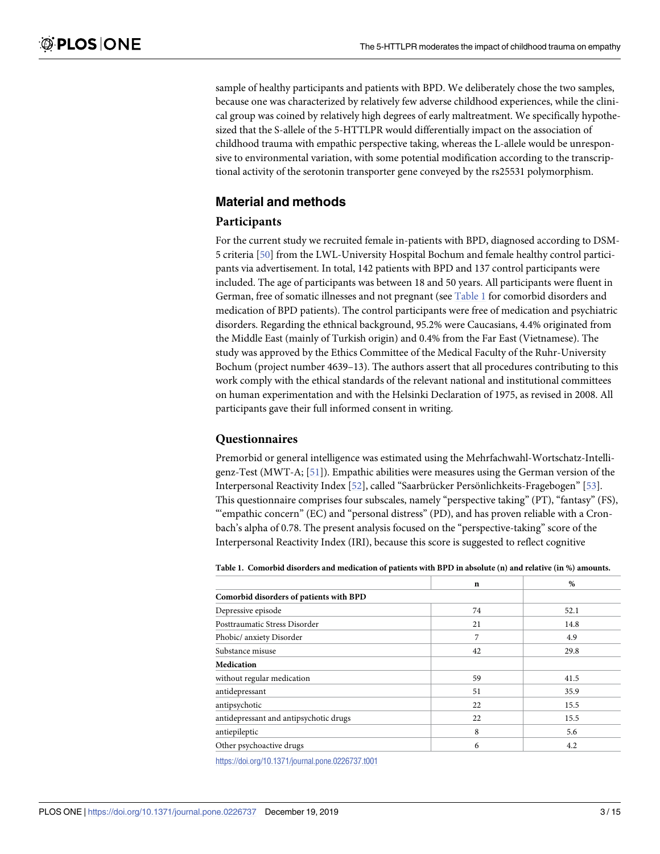<span id="page-2-0"></span>sample of healthy participants and patients with BPD. We deliberately chose the two samples, because one was characterized by relatively few adverse childhood experiences, while the clinical group was coined by relatively high degrees of early maltreatment. We specifically hypothesized that the S-allele of the 5-HTTLPR would differentially impact on the association of childhood trauma with empathic perspective taking, whereas the L-allele would be unresponsive to environmental variation, with some potential modification according to the transcriptional activity of the serotonin transporter gene conveyed by the rs25531 polymorphism.

## **Material and methods**

## **Participants**

For the current study we recruited female in-patients with BPD, diagnosed according to DSM-5 criteria [\[50\]](#page-13-0) from the LWL-University Hospital Bochum and female healthy control participants via advertisement. In total, 142 patients with BPD and 137 control participants were included. The age of participants was between 18 and 50 years. All participants were fluent in German, free of somatic illnesses and not pregnant (see Table 1 for comorbid disorders and medication of BPD patients). The control participants were free of medication and psychiatric disorders. Regarding the ethnical background, 95.2% were Caucasians, 4.4% originated from the Middle East (mainly of Turkish origin) and 0.4% from the Far East (Vietnamese). The study was approved by the Ethics Committee of the Medical Faculty of the Ruhr-University Bochum (project number 4639–13). The authors assert that all procedures contributing to this work comply with the ethical standards of the relevant national and institutional committees on human experimentation and with the Helsinki Declaration of 1975, as revised in 2008. All participants gave their full informed consent in writing.

## **Questionnaires**

Premorbid or general intelligence was estimated using the Mehrfachwahl-Wortschatz-Intelligenz-Test (MWT-A; [\[51\]](#page-13-0)). Empathic abilities were measures using the German version of the Interpersonal Reactivity Index [\[52\]](#page-13-0), called "Saarbrücker Persönlichkeits-Fragebogen" [\[53\]](#page-13-0). This questionnaire comprises four subscales, namely "perspective taking" (PT), "fantasy" (FS), "'empathic concern" (EC) and "personal distress" (PD), and has proven reliable with a Cronbach's alpha of 0.78. The present analysis focused on the "perspective-taking" score of the Interpersonal Reactivity Index (IRI), because this score is suggested to reflect cognitive

Table 1. Comorbid disorders and medication of patients with BPD in absolute (n) and relative (in %) amounts.

|                                         | $\mathbf n$ | $\%$ |
|-----------------------------------------|-------------|------|
| Comorbid disorders of patients with BPD |             |      |
| Depressive episode                      | 74          | 52.1 |
| Posttraumatic Stress Disorder           | 21          | 14.8 |
| Phobic/ anxiety Disorder                | 7           | 4.9  |
| Substance misuse                        | 42          | 29.8 |
| <b>Medication</b>                       |             |      |
| without regular medication              | 59          | 41.5 |
| antidepressant                          | 51          | 35.9 |
| antipsychotic                           | 22          | 15.5 |
| antidepressant and antipsychotic drugs  | 22          | 15.5 |
| antiepileptic                           | 8           | 5.6  |
| Other psychoactive drugs                | 6           | 4.2  |

<https://doi.org/10.1371/journal.pone.0226737.t001>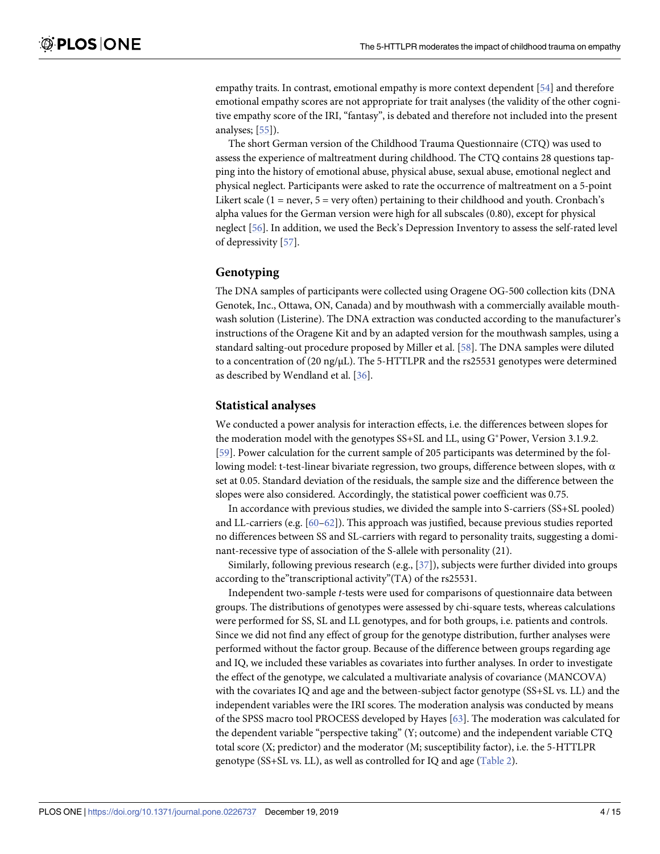<span id="page-3-0"></span>empathy traits. In contrast, emotional empathy is more context dependent [\[54\]](#page-13-0) and therefore emotional empathy scores are not appropriate for trait analyses (the validity of the other cognitive empathy score of the IRI, "fantasy", is debated and therefore not included into the present analyses; [\[55\]](#page-13-0)).

The short German version of the Childhood Trauma Questionnaire (CTQ) was used to assess the experience of maltreatment during childhood. The CTQ contains 28 questions tapping into the history of emotional abuse, physical abuse, sexual abuse, emotional neglect and physical neglect. Participants were asked to rate the occurrence of maltreatment on a 5-point Likert scale ( $1 =$  never,  $5 =$  very often) pertaining to their childhood and youth. Cronbach's alpha values for the German version were high for all subscales (0.80), except for physical neglect [[56](#page-13-0)]. In addition, we used the Beck's Depression Inventory to assess the self-rated level of depressivity [\[57\]](#page-13-0).

### **Genotyping**

The DNA samples of participants were collected using Oragene OG-500 collection kits (DNA Genotek, Inc., Ottawa, ON, Canada) and by mouthwash with a commercially available mouthwash solution (Listerine). The DNA extraction was conducted according to the manufacturer's instructions of the Oragene Kit and by an adapted version for the mouthwash samples, using a standard salting-out procedure proposed by Miller et al. [[58](#page-13-0)]. The DNA samples were diluted to a concentration of (20 ng/μL). The 5-HTTLPR and the rs25531 genotypes were determined as described by Wendland et al. [[36](#page-12-0)].

#### **Statistical analyses**

We conducted a power analysis for interaction effects, i.e. the differences between slopes for the moderation model with the genotypes SS+SL and LL, using G\*Power, Version 3.1.9.2. [\[59\]](#page-13-0). Power calculation for the current sample of 205 participants was determined by the following model: t-test-linear bivariate regression, two groups, difference between slopes, with  $\alpha$ set at 0.05. Standard deviation of the residuals, the sample size and the difference between the slopes were also considered. Accordingly, the statistical power coefficient was 0.75.

In accordance with previous studies, we divided the sample into S-carriers (SS+SL pooled) and LL-carriers (e.g. [\[60–62\]](#page-13-0)). This approach was justified, because previous studies reported no differences between SS and SL-carriers with regard to personality traits, suggesting a dominant-recessive type of association of the S-allele with personality (21).

Similarly, following previous research (e.g., [[37](#page-12-0)]), subjects were further divided into groups according to the"transcriptional activity"(TA) of the rs25531.

Independent two-sample *t-*tests were used for comparisons of questionnaire data between groups. The distributions of genotypes were assessed by chi-square tests, whereas calculations were performed for SS, SL and LL genotypes, and for both groups, i.e. patients and controls. Since we did not find any effect of group for the genotype distribution, further analyses were performed without the factor group. Because of the difference between groups regarding age and IQ, we included these variables as covariates into further analyses. In order to investigate the effect of the genotype, we calculated a multivariate analysis of covariance (MANCOVA) with the covariates IQ and age and the between-subject factor genotype (SS+SL vs. LL) and the independent variables were the IRI scores. The moderation analysis was conducted by means of the SPSS macro tool PROCESS developed by Hayes [\[63\]](#page-13-0). The moderation was calculated for the dependent variable "perspective taking" (Y; outcome) and the independent variable CTQ total score (X; predictor) and the moderator (M; susceptibility factor), i.e. the 5-HTTLPR genotype (SS+SL vs. LL), as well as controlled for IQ and age ([Table](#page-4-0) 2).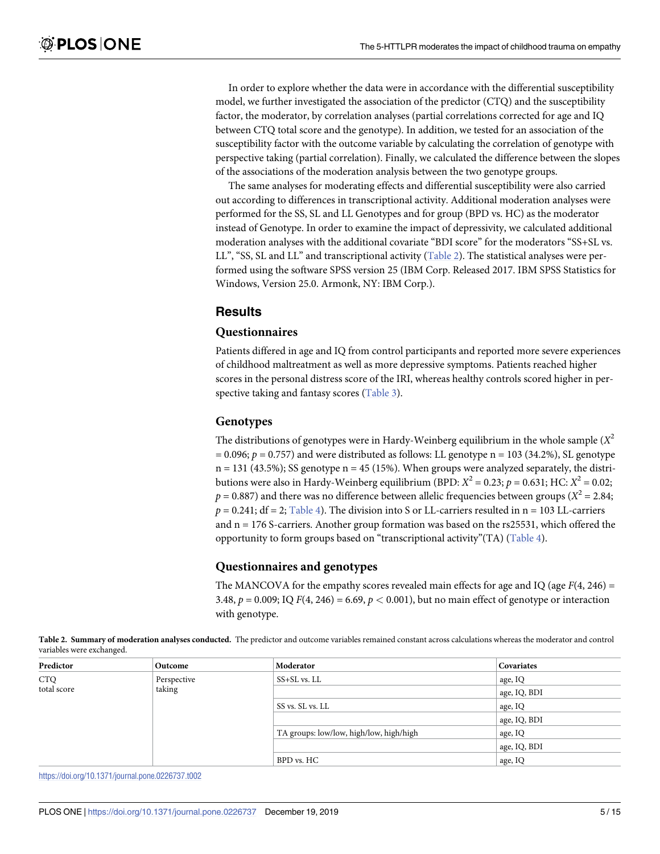<span id="page-4-0"></span>In order to explore whether the data were in accordance with the differential susceptibility model, we further investigated the association of the predictor (CTQ) and the susceptibility factor, the moderator, by correlation analyses (partial correlations corrected for age and IQ between CTQ total score and the genotype). In addition, we tested for an association of the susceptibility factor with the outcome variable by calculating the correlation of genotype with perspective taking (partial correlation). Finally, we calculated the difference between the slopes of the associations of the moderation analysis between the two genotype groups.

The same analyses for moderating effects and differential susceptibility were also carried out according to differences in transcriptional activity. Additional moderation analyses were performed for the SS, SL and LL Genotypes and for group (BPD vs. HC) as the moderator instead of Genotype. In order to examine the impact of depressivity, we calculated additional moderation analyses with the additional covariate "BDI score" for the moderators "SS+SL vs. LL", "SS, SL and LL" and transcriptional activity (Table 2). The statistical analyses were performed using the software SPSS version 25 (IBM Corp. Released 2017. IBM SPSS Statistics for Windows, Version 25.0. Armonk, NY: IBM Corp.).

### **Results**

## **Questionnaires**

Patients differed in age and IQ from control participants and reported more severe experiences of childhood maltreatment as well as more depressive symptoms. Patients reached higher scores in the personal distress score of the IRI, whereas healthy controls scored higher in perspective taking and fantasy scores ([Table](#page-5-0) 3).

#### **Genotypes**

The distributions of genotypes were in Hardy-Weinberg equilibrium in the whole sample  $(X^2)$  $= 0.096; p = 0.757$ ) and were distributed as follows: LL genotype n = 103 (34.2%), SL genotype  $n = 131$  (43.5%); SS genotype  $n = 45$  (15%). When groups were analyzed separately, the distributions were also in Hardy-Weinberg equilibrium (BPD:  $X^2 = 0.23$ ;  $p = 0.631$ ; HC:  $X^2 = 0.02$ ;  $p = 0.887$ ) and there was no difference between allelic frequencies between groups ( $X^2 = 2.84$ ;  $p = 0.241$ ; df = 2; [Table](#page-5-0) 4). The division into S or LL-carriers resulted in n = 103 LL-carriers and  $n = 176$  S-carriers. Another group formation was based on the rs25531, which offered the opportunity to form groups based on "transcriptional activity"(TA) [\(Table](#page-5-0) 4).

#### **Questionnaires and genotypes**

The MANCOVA for the empathy scores revealed main effects for age and IQ (age *F*(4, 246) = 3.48, *p* = 0.009; IQ *F*(4, 246) = 6.69, *p <* 0.001), but no main effect of genotype or interaction with genotype.

| Predictor   | Outcome     | Moderator                               | Covariates   |
|-------------|-------------|-----------------------------------------|--------------|
| <b>CTQ</b>  | Perspective | $SS + SL$ vs. LL                        | age, IQ      |
| total score | taking      |                                         | age, IQ, BDI |
|             |             | SS vs. SL vs. LL                        | age, IQ      |
|             |             |                                         | age, IQ, BDI |
|             |             | TA groups: low/low, high/low, high/high | age, IQ      |
|             |             |                                         | age, IQ, BDI |
|             |             | BPD vs. HC                              | age, IQ      |

**[Table](#page-3-0) 2. Summary of moderation analyses conducted.** The predictor and outcome variables remained constant across calculations whereas the moderator and control variables were exchanged.

<https://doi.org/10.1371/journal.pone.0226737.t002>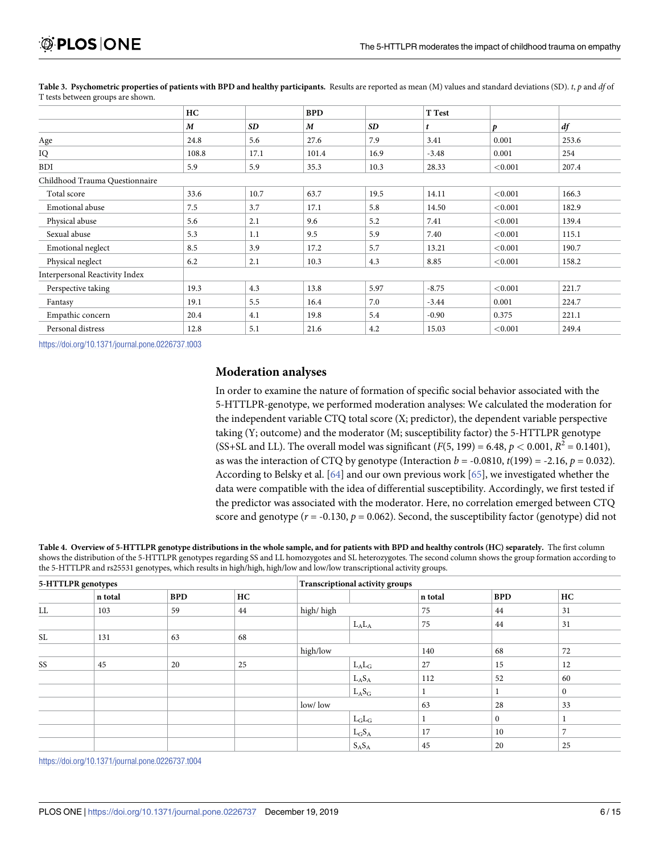|                                | HC    |           | <b>BPD</b> |      | T Test  |            |       |
|--------------------------------|-------|-----------|------------|------|---------|------------|-------|
|                                | M     | <b>SD</b> | M          | SD   |         | p          | df    |
| Age                            | 24.8  | 5.6       | 27.6       | 7.9  | 3.41    | 0.001      | 253.6 |
| IQ                             | 108.8 | 17.1      | 101.4      | 16.9 | $-3.48$ | 0.001      | 254   |
| <b>BDI</b>                     | 5.9   | 5.9       | 35.3       | 10.3 | 28.33   | ${<}0.001$ | 207.4 |
| Childhood Trauma Questionnaire |       |           |            |      |         |            |       |
| Total score                    | 33.6  | 10.7      | 63.7       | 19.5 | 14.11   | < 0.001    | 166.3 |
| Emotional abuse                | 7.5   | 3.7       | 17.1       | 5.8  | 14.50   | ${<}0.001$ | 182.9 |
| Physical abuse                 | 5.6   | 2.1       | 9.6        | 5.2  | 7.41    | < 0.001    | 139.4 |
| Sexual abuse                   | 5.3   | 1.1       | 9.5        | 5.9  | 7.40    | < 0.001    | 115.1 |
| Emotional neglect              | 8.5   | 3.9       | 17.2       | 5.7  | 13.21   | < 0.001    | 190.7 |
| Physical neglect               | 6.2   | 2.1       | 10.3       | 4.3  | 8.85    | < 0.001    | 158.2 |
| Interpersonal Reactivity Index |       |           |            |      |         |            |       |
| Perspective taking             | 19.3  | 4.3       | 13.8       | 5.97 | $-8.75$ | < 0.001    | 221.7 |
| Fantasy                        | 19.1  | 5.5       | 16.4       | 7.0  | $-3.44$ | 0.001      | 224.7 |
| Empathic concern               | 20.4  | 4.1       | 19.8       | 5.4  | $-0.90$ | 0.375      | 221.1 |
| Personal distress              | 12.8  | 5.1       | 21.6       | 4.2  | 15.03   | < 0.001    | 249.4 |

<span id="page-5-0"></span>[Table](#page-4-0) 3. Psychometric properties of patients with BPD and healthy participants. Results are reported as mean (M) values and standard deviations (SD). t, p and df of T tests between groups are shown.

<https://doi.org/10.1371/journal.pone.0226737.t003>

#### **Moderation analyses**

In order to examine the nature of formation of specific social behavior associated with the 5-HTTLPR-genotype, we performed moderation analyses: We calculated the moderation for the independent variable CTQ total score (X; predictor), the dependent variable perspective taking (Y; outcome) and the moderator (M; susceptibility factor) the 5-HTTLPR genotype (SS+SL and LL). The overall model was significant  $(F(5, 199) = 6.48, p < 0.001, R^2 = 0.1401$ ), as was the interaction of CTQ by genotype (Interaction  $b = -0.0810$ ,  $t(199) = -2.16$ ,  $p = 0.032$ ). According to Belsky et al. [[64](#page-13-0)] and our own previous work [\[65\]](#page-14-0), we investigated whether the data were compatible with the idea of differential susceptibility. Accordingly, we first tested if the predictor was associated with the moderator. Here, no correlation emerged between CTQ score and genotype  $(r = -0.130, p = 0.062)$ . Second, the susceptibility factor (genotype) did not

[Table](#page-4-0) 4. Overview of 5-HTTLPR genotype distributions in the whole sample, and for patients with BPD and healthy controls (HC) separately. The first column shows the distribution of the 5-HTTLPR genotypes regarding SS and LL homozygotes and SL heterozygotes. The second column shows the group formation according to the 5-HTTLPR and rs25531 genotypes, which results in high/high, high/low and low/low transcriptional activity groups.

| 5-HTTLPR genotypes |         |            |    | Transcriptional activity groups |         |              |                |  |
|--------------------|---------|------------|----|---------------------------------|---------|--------------|----------------|--|
|                    | n total | <b>BPD</b> | HC |                                 | n total | <b>BPD</b>   | HC             |  |
| ${\rm LL}$         | 103     | 59         | 44 | high/high                       | 75      | 44           | 31             |  |
|                    |         |            |    | $L_A L_A$                       | 75      | 44           | 31             |  |
| SL                 | 131     | 63         | 68 |                                 |         |              |                |  |
|                    |         |            |    | high/low                        | 140     | 68           | 72             |  |
| SS                 | 45      | 20         | 25 | $L_A L_G$                       | 27      | 15           | 12             |  |
|                    |         |            |    | $L_A S_A$                       | 112     | 52           | 60             |  |
|                    |         |            |    | $L_A S_G$                       |         |              | $\mathbf{0}$   |  |
|                    |         |            |    | low/low                         | 63      | 28           | 33             |  |
|                    |         |            |    | $L_GL_G$                        |         | $\mathbf{0}$ |                |  |
|                    |         |            |    | $L_GS_A$                        | 17      | 10           | $\overline{ }$ |  |
|                    |         |            |    | $S_A S_A$                       | 45      | 20           | 25             |  |

<https://doi.org/10.1371/journal.pone.0226737.t004>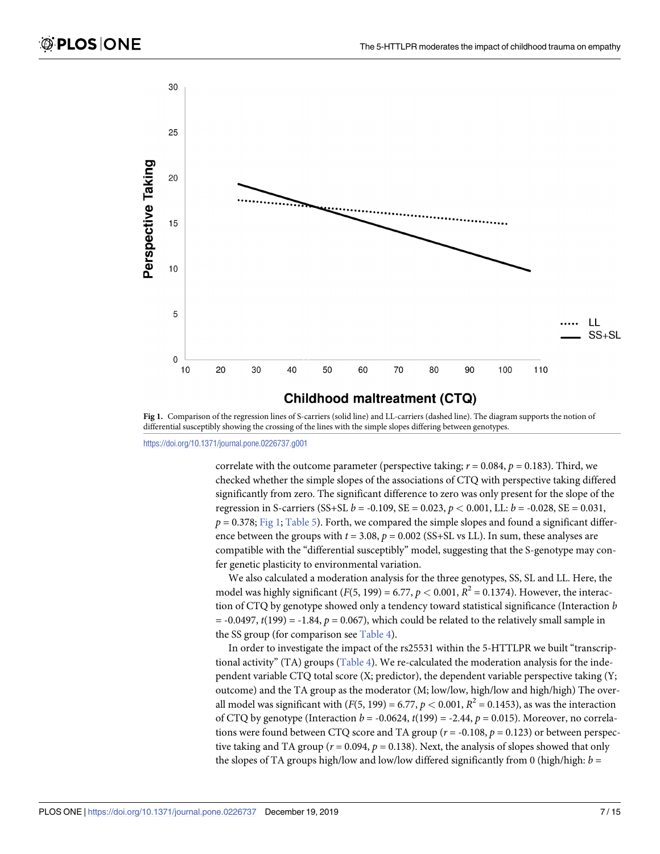<span id="page-6-0"></span>

## **Childhood maltreatment (CTQ)**

**Fig 1.** Comparison of the regression lines of S-carriers (solid line) and LL-carriers (dashed line). The diagram supports the notion of differential susceptibly showing the crossing of the lines with the simple slopes differing between genotypes.

<https://doi.org/10.1371/journal.pone.0226737.g001>

correlate with the outcome parameter (perspective taking;  $r = 0.084$ ,  $p = 0.183$ ). Third, we checked whether the simple slopes of the associations of CTQ with perspective taking differed significantly from zero. The significant difference to zero was only present for the slope of the regression in S-carriers (SS+SL *b* = -0.109, SE = 0.023, *p <* 0.001, LL: *b* = -0.028, SE = 0.031,  $p = 0.378$ ; Fig 1; [Table](#page-7-0) 5). Forth, we compared the simple slopes and found a significant difference between the groups with  $t = 3.08$ ,  $p = 0.002$  (SS+SL vs LL). In sum, these analyses are compatible with the "differential susceptibly" model, suggesting that the S-genotype may confer genetic plasticity to environmental variation.

We also calculated a moderation analysis for the three genotypes, SS, SL and LL. Here, the model was highly significant ( $F(5, 199) = 6.77$ ,  $p < 0.001$ ,  $R^2 = 0.1374$ ). However, the interaction of CTQ by genotype showed only a tendency toward statistical significance (Interaction *b*  $= -0.0497$ ,  $t(199) = -1.84$ ,  $p = 0.067$ ), which could be related to the relatively small sample in the SS group (for comparison see [Table](#page-5-0) 4).

In order to investigate the impact of the rs25531 within the 5-HTTLPR we built "transcriptional activity" (TA) groups [\(Table](#page-5-0) 4). We re-calculated the moderation analysis for the independent variable CTQ total score (X; predictor), the dependent variable perspective taking (Y; outcome) and the TA group as the moderator (M; low/low, high/low and high/high) The overall model was significant with  $(F(5, 199) = 6.77, p < 0.001, R^2 = 0.1453)$ , as was the interaction of CTQ by genotype (Interaction *b* = -0.0624, *t*(199) = -2.44, *p* = 0.015). Moreover, no correlations were found between CTQ score and TA group ( $r = -0.108$ ,  $p = 0.123$ ) or between perspective taking and TA group ( $r = 0.094$ ,  $p = 0.138$ ). Next, the analysis of slopes showed that only the slopes of TA groups high/low and low/low differed significantly from 0 (high/high: *b* =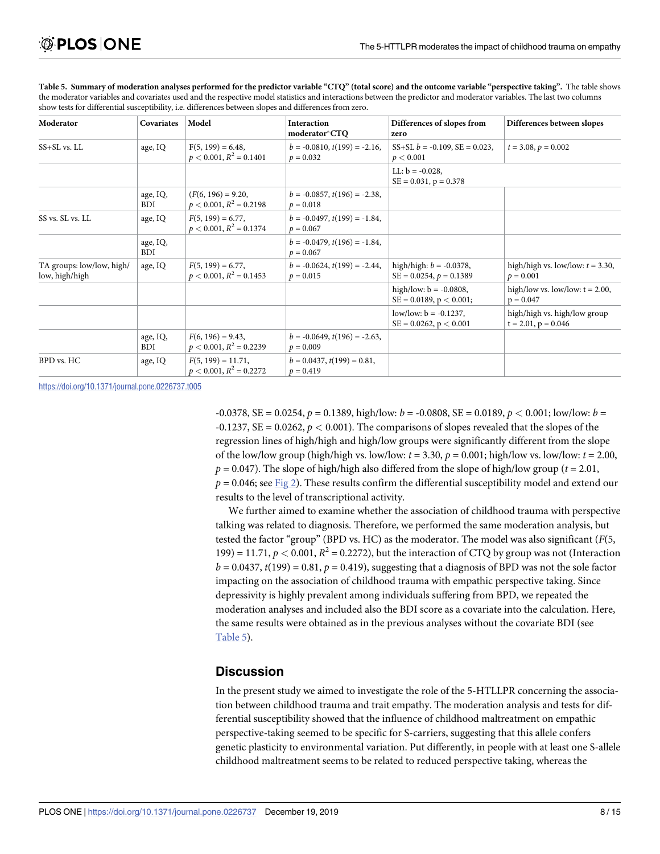| Moderator                                   | Covariates             | Model                                                | <b>Interaction</b><br>moderator*CTQ               | Differences of slopes from<br>zero                         | Differences between slopes                               |
|---------------------------------------------|------------------------|------------------------------------------------------|---------------------------------------------------|------------------------------------------------------------|----------------------------------------------------------|
| $SS + SL$ vs. $LL$                          | age, IQ                | $F(5, 199) = 6.48$<br>$p < 0.001, R^2 = 0.1401$      | $b = -0.0810$ , $t(199) = -2.16$ ,<br>$p = 0.032$ | $SS+SL b = -0.109$ , $SE = 0.023$ ,<br>p < 0.001           | $t = 3.08, p = 0.002$                                    |
|                                             |                        |                                                      |                                                   | LL: $b = -0.028$ ,<br>$SE = 0.031$ , $p = 0.378$           |                                                          |
|                                             | age, IQ,<br><b>BDI</b> | $(F(6, 196) = 9.20,$<br>$p < 0.001$ , $R^2 = 0.2198$ | $b = -0.0857$ , $t(196) = -2.38$ ,<br>$p = 0.018$ |                                                            |                                                          |
| SS vs. SL vs. LL                            | age, IQ                | $F(5, 199) = 6.77$ ,<br>$p < 0.001, R^2 = 0.1374$    | $b = -0.0497$ , $t(199) = -1.84$ ,<br>$p = 0.067$ |                                                            |                                                          |
|                                             | age, IQ,<br><b>BDI</b> |                                                      | $b = -0.0479$ , $t(196) = -1.84$ ,<br>$p = 0.067$ |                                                            |                                                          |
| TA groups: low/low, high/<br>low, high/high | age, IQ                | $F(5, 199) = 6.77$ ,<br>$p < 0.001$ , $R^2 = 0.1453$ | $b = -0.0624$ , $t(199) = -2.44$ ,<br>$p = 0.015$ | high/high: $b = -0.0378$ ,<br>$SE = 0.0254$ , $p = 0.1389$ | high/high vs. low/low: $t = 3.30$ ,<br>$p = 0.001$       |
|                                             |                        |                                                      |                                                   | high/low: $b = -0.0808$ ,<br>$SE = 0.0189$ , $p < 0.001$ ; | high/low vs. low/low: $t = 2.00$ ,<br>$p = 0.047$        |
|                                             |                        |                                                      |                                                   | low/low: $b = -0.1237$ ,<br>$SE = 0.0262$ , $p < 0.001$    | high/high vs. high/low group<br>$t = 2.01$ , $p = 0.046$ |
|                                             | age, IQ,<br><b>BDI</b> | $F(6, 196) = 9.43$ ,<br>$p < 0.001$ , $R^2 = 0.2239$ | $b = -0.0649$ , $t(196) = -2.63$ ,<br>$p = 0.009$ |                                                            |                                                          |
| BPD vs. HC                                  | age, IQ                | $F(5, 199) = 11.71$ ,<br>$p < 0.001, R^2 = 0.2272$   | $b = 0.0437$ , $t(199) = 0.81$ ,<br>$p = 0.419$   |                                                            |                                                          |

<span id="page-7-0"></span>[Table](#page-6-0) 5. Summary of moderation analyses performed for the predictor variable "CTQ" (total score) and the outcome variable "perspective taking". The table shows the moderator variables and covariates used and the respective model statistics and interactions between the predictor and moderator variables. The last two columns show tests for differential susceptibility, i.e. differences between slopes and differences from zero.

<https://doi.org/10.1371/journal.pone.0226737.t005>

-0.0378, SE = 0.0254, *p* = 0.1389, high/low: *b* = -0.0808, SE = 0.0189, *p <* 0.001; low/low: *b* =  $-0.1237$ ,  $SE = 0.0262$ ,  $p < 0.001$ ). The comparisons of slopes revealed that the slopes of the regression lines of high/high and high/low groups were significantly different from the slope of the low/low group (high/high vs. low/low:  $t = 3.30$ ,  $p = 0.001$ ; high/low vs. low/low:  $t = 2.00$ ,  $p = 0.047$ ). The slope of high/high also differed from the slope of high/low group ( $t = 2.01$ ,  $p = 0.046$ ; see [Fig](#page-8-0) 2). These results confirm the differential susceptibility model and extend our results to the level of transcriptional activity.

We further aimed to examine whether the association of childhood trauma with perspective talking was related to diagnosis. Therefore, we performed the same moderation analysis, but tested the factor "group" (BPD vs. HC) as the moderator. The model was also significant (*F*(5, 199) = 11.71,  $p < 0.001$ ,  $R^2 = 0.2272$ ), but the interaction of CTO by group was not (Interaction  $b = 0.0437$ ,  $t(199) = 0.81$ ,  $p = 0.419$ ), suggesting that a diagnosis of BPD was not the sole factor impacting on the association of childhood trauma with empathic perspective taking. Since depressivity is highly prevalent among individuals suffering from BPD, we repeated the moderation analyses and included also the BDI score as a covariate into the calculation. Here, the same results were obtained as in the previous analyses without the covariate BDI (see Table 5).

## **Discussion**

In the present study we aimed to investigate the role of the 5-HTLLPR concerning the association between childhood trauma and trait empathy. The moderation analysis and tests for differential susceptibility showed that the influence of childhood maltreatment on empathic perspective-taking seemed to be specific for S-carriers, suggesting that this allele confers genetic plasticity to environmental variation. Put differently, in people with at least one S-allele childhood maltreatment seems to be related to reduced perspective taking, whereas the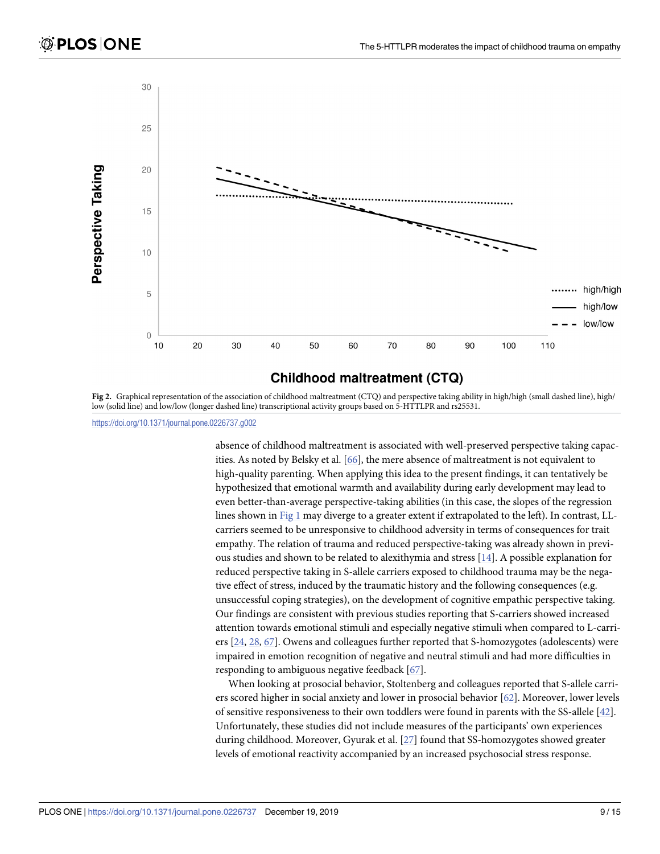<span id="page-8-0"></span>

## **Childhood maltreatment (CTQ)**

**[Fig](#page-7-0) 2.** Graphical representation of the association of childhood maltreatment (CTQ) and perspective taking ability in high/high (small dashed line), high/ low (solid line) and low/low (longer dashed line) transcriptional activity groups based on 5-HTTLPR and rs25531.

<https://doi.org/10.1371/journal.pone.0226737.g002>

absence of childhood maltreatment is associated with well-preserved perspective taking capacities. As noted by Belsky et al. [\[66\]](#page-14-0), the mere absence of maltreatment is not equivalent to high-quality parenting. When applying this idea to the present findings, it can tentatively be hypothesized that emotional warmth and availability during early development may lead to even better-than-average perspective-taking abilities (in this case, the slopes of the regression lines shown in [Fig](#page-6-0) 1 may diverge to a greater extent if extrapolated to the left). In contrast, LLcarriers seemed to be unresponsive to childhood adversity in terms of consequences for trait empathy. The relation of trauma and reduced perspective-taking was already shown in previous studies and shown to be related to alexithymia and stress [[14\]](#page-11-0). A possible explanation for reduced perspective taking in S-allele carriers exposed to childhood trauma may be the negative effect of stress, induced by the traumatic history and the following consequences (e.g. unsuccessful coping strategies), on the development of cognitive empathic perspective taking. Our findings are consistent with previous studies reporting that S-carriers showed increased attention towards emotional stimuli and especially negative stimuli when compared to L-carriers [\[24,](#page-12-0) [28,](#page-12-0) [67\]](#page-14-0). Owens and colleagues further reported that S-homozygotes (adolescents) were impaired in emotion recognition of negative and neutral stimuli and had more difficulties in responding to ambiguous negative feedback [\[67\]](#page-14-0).

When looking at prosocial behavior, Stoltenberg and colleagues reported that S-allele carriers scored higher in social anxiety and lower in prosocial behavior [\[62\]](#page-13-0). Moreover, lower levels of sensitive responsiveness to their own toddlers were found in parents with the SS-allele [[42](#page-12-0)]. Unfortunately, these studies did not include measures of the participants' own experiences during childhood. Moreover, Gyurak et al. [[27](#page-12-0)] found that SS-homozygotes showed greater levels of emotional reactivity accompanied by an increased psychosocial stress response.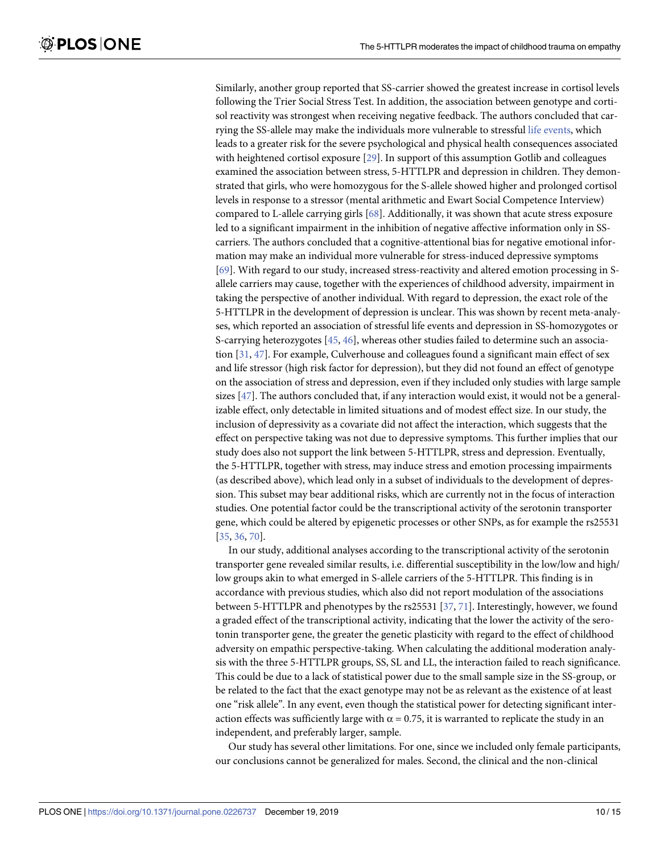<span id="page-9-0"></span>Similarly, another group reported that SS-carrier showed the greatest increase in cortisol levels following the Trier Social Stress Test. In addition, the association between genotype and cortisol reactivity was strongest when receiving negative feedback. The authors concluded that carrying the SS-allele may make the individuals more vulnerable to stressful life [events,](https://www.sciencedirect.com/topics/medicine-and-dentistry/life-event) which leads to a greater risk for the severe psychological and physical health consequences associated with heightened cortisol exposure [\[29\]](#page-12-0). In support of this assumption Gotlib and colleagues examined the association between stress, 5-HTTLPR and depression in children. They demonstrated that girls, who were homozygous for the S-allele showed higher and prolonged cortisol levels in response to a stressor (mental arithmetic and Ewart Social Competence Interview) compared to L-allele carrying girls [\[68\]](#page-14-0). Additionally, it was shown that acute stress exposure led to a significant impairment in the inhibition of negative affective information only in SScarriers. The authors concluded that a cognitive-attentional bias for negative emotional information may make an individual more vulnerable for stress-induced depressive symptoms [\[69\]](#page-14-0). With regard to our study, increased stress-reactivity and altered emotion processing in Sallele carriers may cause, together with the experiences of childhood adversity, impairment in taking the perspective of another individual. With regard to depression, the exact role of the 5-HTTLPR in the development of depression is unclear. This was shown by recent meta-analyses, which reported an association of stressful life events and depression in SS-homozygotes or S-carrying heterozygotes [\[45,](#page-13-0) [46\]](#page-13-0), whereas other studies failed to determine such an association [[31](#page-12-0), [47](#page-13-0)]. For example, Culverhouse and colleagues found a significant main effect of sex and life stressor (high risk factor for depression), but they did not found an effect of genotype on the association of stress and depression, even if they included only studies with large sample sizes [[47](#page-13-0)]. The authors concluded that, if any interaction would exist, it would not be a generalizable effect, only detectable in limited situations and of modest effect size. In our study, the inclusion of depressivity as a covariate did not affect the interaction, which suggests that the effect on perspective taking was not due to depressive symptoms. This further implies that our study does also not support the link between 5-HTTLPR, stress and depression. Eventually, the 5-HTTLPR, together with stress, may induce stress and emotion processing impairments (as described above), which lead only in a subset of individuals to the development of depression. This subset may bear additional risks, which are currently not in the focus of interaction studies. One potential factor could be the transcriptional activity of the serotonin transporter gene, which could be altered by epigenetic processes or other SNPs, as for example the rs25531 [\[35,](#page-12-0) [36,](#page-12-0) [70\]](#page-14-0).

In our study, additional analyses according to the transcriptional activity of the serotonin transporter gene revealed similar results, i.e. differential susceptibility in the low/low and high/ low groups akin to what emerged in S-allele carriers of the 5-HTTLPR. This finding is in accordance with previous studies, which also did not report modulation of the associations between 5-HTTLPR and phenotypes by the rs25531 [\[37,](#page-12-0) [71\]](#page-14-0). Interestingly, however, we found a graded effect of the transcriptional activity, indicating that the lower the activity of the serotonin transporter gene, the greater the genetic plasticity with regard to the effect of childhood adversity on empathic perspective-taking. When calculating the additional moderation analysis with the three 5-HTTLPR groups, SS, SL and LL, the interaction failed to reach significance. This could be due to a lack of statistical power due to the small sample size in the SS-group, or be related to the fact that the exact genotype may not be as relevant as the existence of at least one "risk allele". In any event, even though the statistical power for detecting significant interaction effects was sufficiently large with  $\alpha = 0.75$ , it is warranted to replicate the study in an independent, and preferably larger, sample.

Our study has several other limitations. For one, since we included only female participants, our conclusions cannot be generalized for males. Second, the clinical and the non-clinical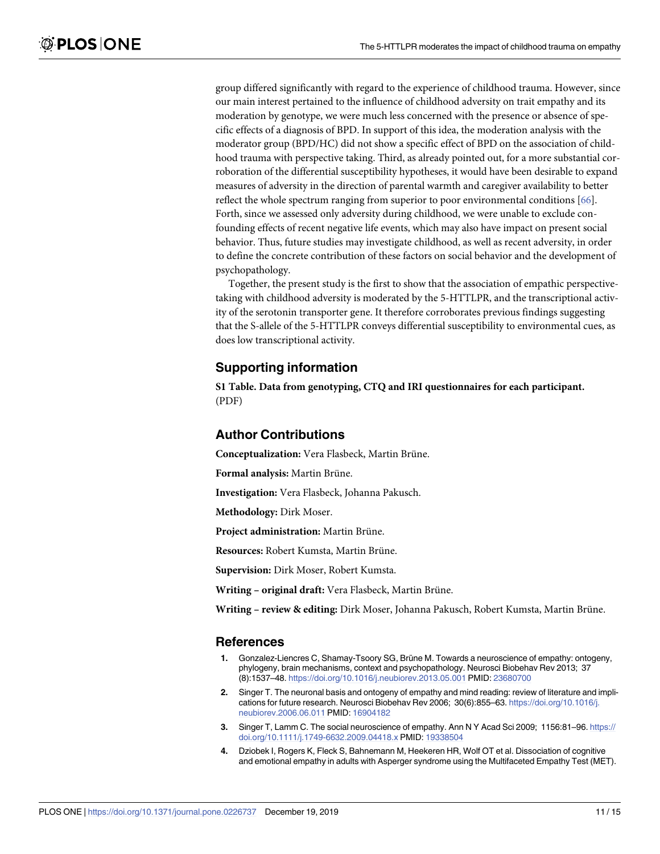<span id="page-10-0"></span>group differed significantly with regard to the experience of childhood trauma. However, since our main interest pertained to the influence of childhood adversity on trait empathy and its moderation by genotype, we were much less concerned with the presence or absence of specific effects of a diagnosis of BPD. In support of this idea, the moderation analysis with the moderator group (BPD/HC) did not show a specific effect of BPD on the association of childhood trauma with perspective taking. Third, as already pointed out, for a more substantial corroboration of the differential susceptibility hypotheses, it would have been desirable to expand measures of adversity in the direction of parental warmth and caregiver availability to better reflect the whole spectrum ranging from superior to poor environmental conditions [\[66\]](#page-14-0). Forth, since we assessed only adversity during childhood, we were unable to exclude confounding effects of recent negative life events, which may also have impact on present social behavior. Thus, future studies may investigate childhood, as well as recent adversity, in order to define the concrete contribution of these factors on social behavior and the development of psychopathology.

Together, the present study is the first to show that the association of empathic perspectivetaking with childhood adversity is moderated by the 5-HTTLPR, and the transcriptional activity of the serotonin transporter gene. It therefore corroborates previous findings suggesting that the S-allele of the 5-HTTLPR conveys differential susceptibility to environmental cues, as does low transcriptional activity.

## **Supporting information**

**S1 [Table.](http://www.plosone.org/article/fetchSingleRepresentation.action?uri=info:doi/10.1371/journal.pone.0226737.s001) Data from genotyping, CTQ and IRI questionnaires for each participant.** (PDF)

## **Author Contributions**

**Conceptualization:** Vera Flasbeck, Martin Brüne.

**Formal analysis:** Martin Brüne.

**Investigation:** Vera Flasbeck, Johanna Pakusch.

**Methodology:** Dirk Moser.

**Project administration:** Martin Brüne.

Resources: Robert Kumsta, Martin Brüne.

**Supervision:** Dirk Moser, Robert Kumsta.

**Writing** – **original draft:** Vera Flasbeck, Martin Brüne.

**Writing – review & editing:** Dirk Moser, Johanna Pakusch, Robert Kumsta, Martin Bru¨ne.

#### **References**

- **[1](#page-1-0).** Gonzalez-Liencres C, Shamay-Tsoory SG, Brüne M. Towards a neuroscience of empathy: ontogeny, phylogeny, brain mechanisms, context and psychopathology. Neurosci Biobehav Rev 2013; 37 (8):1537–48. <https://doi.org/10.1016/j.neubiorev.2013.05.001> PMID: [23680700](http://www.ncbi.nlm.nih.gov/pubmed/23680700)
- **2.** Singer T. The neuronal basis and ontogeny of empathy and mind reading: review of literature and implications for future research. Neurosci Biobehav Rev 2006; 30(6):855–63. [https://doi.org/10.1016/j.](https://doi.org/10.1016/j.neubiorev.2006.06.011) [neubiorev.2006.06.011](https://doi.org/10.1016/j.neubiorev.2006.06.011) PMID: [16904182](http://www.ncbi.nlm.nih.gov/pubmed/16904182)
- **[3](#page-1-0).** Singer T, Lamm C. The social neuroscience of empathy. Ann N Y Acad Sci 2009; 1156:81–96. [https://](https://doi.org/10.1111/j.1749-6632.2009.04418.x) [doi.org/10.1111/j.1749-6632.2009.04418.x](https://doi.org/10.1111/j.1749-6632.2009.04418.x) PMID: [19338504](http://www.ncbi.nlm.nih.gov/pubmed/19338504)
- **[4](#page-1-0).** Dziobek I, Rogers K, Fleck S, Bahnemann M, Heekeren HR, Wolf OT et al. Dissociation of cognitive and emotional empathy in adults with Asperger syndrome using the Multifaceted Empathy Test (MET).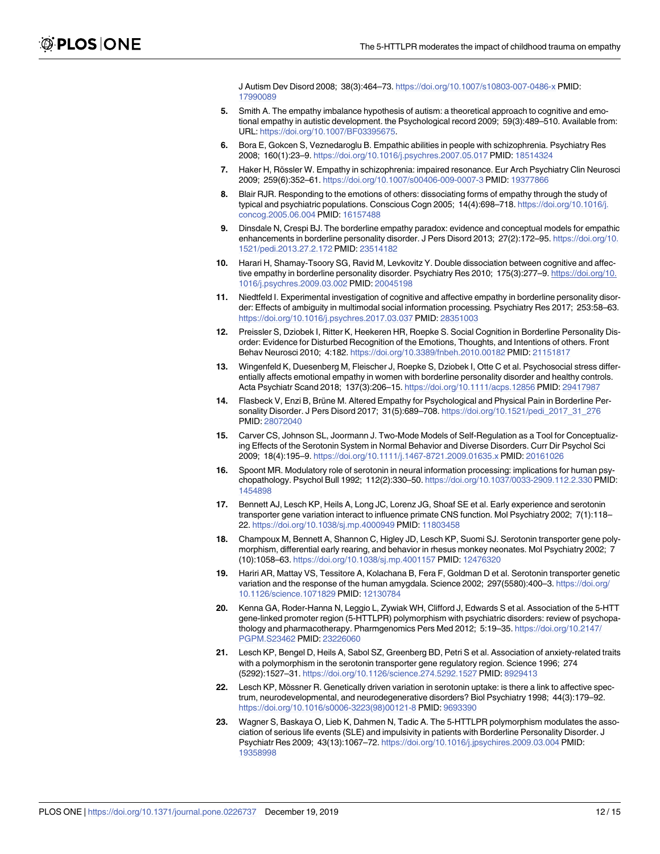J Autism Dev Disord 2008; 38(3):464–73. <https://doi.org/10.1007/s10803-007-0486-x> PMID: [17990089](http://www.ncbi.nlm.nih.gov/pubmed/17990089)

- <span id="page-11-0"></span>**[5](#page-1-0).** Smith A. The empathy imbalance hypothesis of autism: a theoretical approach to cognitive and emotional empathy in autistic development. the Psychological record 2009; 59(3):489–510. Available from: URL: [https://doi.org/10.1007/BF03395675.](https://doi.org/10.1007/BF03395675)
- **[6](#page-1-0).** Bora E, Gokcen S, Veznedaroglu B. Empathic abilities in people with schizophrenia. Psychiatry Res 2008; 160(1):23–9. <https://doi.org/10.1016/j.psychres.2007.05.017> PMID: [18514324](http://www.ncbi.nlm.nih.gov/pubmed/18514324)
- **[7](#page-1-0).** Haker H, Rössler W. Empathy in schizophrenia: impaired resonance. Eur Arch Psychiatry Clin Neurosci 2009; 259(6):352–61. <https://doi.org/10.1007/s00406-009-0007-3> PMID: [19377866](http://www.ncbi.nlm.nih.gov/pubmed/19377866)
- **[8](#page-1-0).** Blair RJR. Responding to the emotions of others: dissociating forms of empathy through the study of typical and psychiatric populations. Conscious Cogn 2005; 14(4):698–718. [https://doi.org/10.1016/j.](https://doi.org/10.1016/j.concog.2005.06.004) [concog.2005.06.004](https://doi.org/10.1016/j.concog.2005.06.004) PMID: [16157488](http://www.ncbi.nlm.nih.gov/pubmed/16157488)
- **[9](#page-1-0).** Dinsdale N, Crespi BJ. The borderline empathy paradox: evidence and conceptual models for empathic enhancements in borderline personality disorder. J Pers Disord 2013; 27(2):172–95. [https://doi.org/10.](https://doi.org/10.1521/pedi.2013.27.2.172) [1521/pedi.2013.27.2.172](https://doi.org/10.1521/pedi.2013.27.2.172) PMID: [23514182](http://www.ncbi.nlm.nih.gov/pubmed/23514182)
- **10.** Harari H, Shamay-Tsoory SG, Ravid M, Levkovitz Y. Double dissociation between cognitive and affective empathy in borderline personality disorder. Psychiatry Res 2010; 175(3):277–9. [https://doi.org/10.](https://doi.org/10.1016/j.psychres.2009.03.002) [1016/j.psychres.2009.03.002](https://doi.org/10.1016/j.psychres.2009.03.002) PMID: [20045198](http://www.ncbi.nlm.nih.gov/pubmed/20045198)
- **11.** Niedtfeld I. Experimental investigation of cognitive and affective empathy in borderline personality disorder: Effects of ambiguity in multimodal social information processing. Psychiatry Res 2017; 253:58–63. <https://doi.org/10.1016/j.psychres.2017.03.037> PMID: [28351003](http://www.ncbi.nlm.nih.gov/pubmed/28351003)
- **12.** Preissler S, Dziobek I, Ritter K, Heekeren HR, Roepke S. Social Cognition in Borderline Personality Disorder: Evidence for Disturbed Recognition of the Emotions, Thoughts, and Intentions of others. Front Behav Neurosci 2010; 4:182. <https://doi.org/10.3389/fnbeh.2010.00182> PMID: [21151817](http://www.ncbi.nlm.nih.gov/pubmed/21151817)
- **[13](#page-1-0).** Wingenfeld K, Duesenberg M, Fleischer J, Roepke S, Dziobek I, Otte C et al. Psychosocial stress differentially affects emotional empathy in women with borderline personality disorder and healthy controls. Acta Psychiatr Scand 2018; 137(3):206–15. <https://doi.org/10.1111/acps.12856> PMID: [29417987](http://www.ncbi.nlm.nih.gov/pubmed/29417987)
- **[14](#page-1-0).** Flasbeck V, Enzi B, Brüne M. Altered Empathy for Psychological and Physical Pain in Borderline Personality Disorder. J Pers Disord 2017; 31(5):689–708. [https://doi.org/10.1521/pedi\\_2017\\_31\\_276](https://doi.org/10.1521/pedi_2017_31_276) PMID: [28072040](http://www.ncbi.nlm.nih.gov/pubmed/28072040)
- **[15](#page-1-0).** Carver CS, Johnson SL, Joormann J. Two-Mode Models of Self-Regulation as a Tool for Conceptualizing Effects of the Serotonin System in Normal Behavior and Diverse Disorders. Curr Dir Psychol Sci 2009; 18(4):195–9. <https://doi.org/10.1111/j.1467-8721.2009.01635.x> PMID: [20161026](http://www.ncbi.nlm.nih.gov/pubmed/20161026)
- **[16](#page-1-0).** Spoont MR. Modulatory role of serotonin in neural information processing: implications for human psychopathology. Psychol Bull 1992; 112(2):330–50. <https://doi.org/10.1037/0033-2909.112.2.330> PMID: [1454898](http://www.ncbi.nlm.nih.gov/pubmed/1454898)
- **[17](#page-1-0).** Bennett AJ, Lesch KP, Heils A, Long JC, Lorenz JG, Shoaf SE et al. Early experience and serotonin transporter gene variation interact to influence primate CNS function. Mol Psychiatry 2002; 7(1):118– 22. <https://doi.org/10.1038/sj.mp.4000949> PMID: [11803458](http://www.ncbi.nlm.nih.gov/pubmed/11803458)
- **[18](#page-1-0).** Champoux M, Bennett A, Shannon C, Higley JD, Lesch KP, Suomi SJ. Serotonin transporter gene polymorphism, differential early rearing, and behavior in rhesus monkey neonates. Mol Psychiatry 2002; 7 (10):1058–63. <https://doi.org/10.1038/sj.mp.4001157> PMID: [12476320](http://www.ncbi.nlm.nih.gov/pubmed/12476320)
- **[19](#page-1-0).** Hariri AR, Mattay VS, Tessitore A, Kolachana B, Fera F, Goldman D et al. Serotonin transporter genetic variation and the response of the human amygdala. Science 2002; 297(5580):400–3. [https://doi.org/](https://doi.org/10.1126/science.1071829) [10.1126/science.1071829](https://doi.org/10.1126/science.1071829) PMID: [12130784](http://www.ncbi.nlm.nih.gov/pubmed/12130784)
- **20.** Kenna GA, Roder-Hanna N, Leggio L, Zywiak WH, Clifford J, Edwards S et al. Association of the 5-HTT gene-linked promoter region (5-HTTLPR) polymorphism with psychiatric disorders: review of psychopathology and pharmacotherapy. Pharmgenomics Pers Med 2012; 5:19–35. [https://doi.org/10.2147/](https://doi.org/10.2147/PGPM.S23462) [PGPM.S23462](https://doi.org/10.2147/PGPM.S23462) PMID: [23226060](http://www.ncbi.nlm.nih.gov/pubmed/23226060)
- **21.** Lesch KP, Bengel D, Heils A, Sabol SZ, Greenberg BD, Petri S et al. Association of anxiety-related traits with a polymorphism in the serotonin transporter gene regulatory region. Science 1996; 274 (5292):1527–31. <https://doi.org/10.1126/science.274.5292.1527> PMID: [8929413](http://www.ncbi.nlm.nih.gov/pubmed/8929413)
- **22.** Lesch KP, Mössner R. Genetically driven variation in serotonin uptake: is there a link to affective spectrum, neurodevelopmental, and neurodegenerative disorders? Biol Psychiatry 1998; 44(3):179–92. [https://doi.org/10.1016/s0006-3223\(98\)00121-8](https://doi.org/10.1016/s0006-3223(98)00121-8) PMID: [9693390](http://www.ncbi.nlm.nih.gov/pubmed/9693390)
- **[23](#page-1-0).** Wagner S, Baskaya O, Lieb K, Dahmen N, Tadic A. The 5-HTTLPR polymorphism modulates the association of serious life events (SLE) and impulsivity in patients with Borderline Personality Disorder. J Psychiatr Res 2009; 43(13):1067–72. <https://doi.org/10.1016/j.jpsychires.2009.03.004> PMID: [19358998](http://www.ncbi.nlm.nih.gov/pubmed/19358998)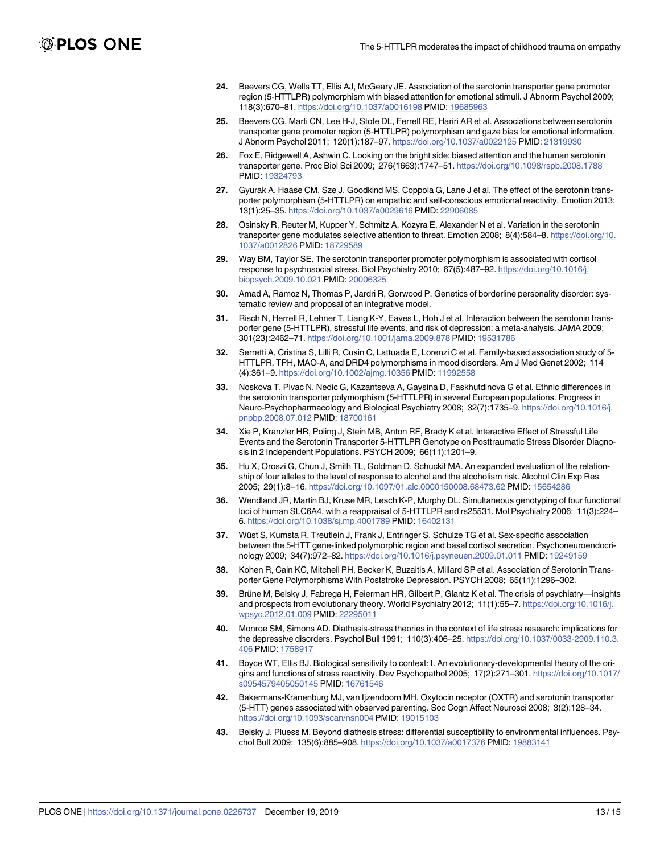- <span id="page-12-0"></span>**[24](#page-1-0).** Beevers CG, Wells TT, Ellis AJ, McGeary JE. Association of the serotonin transporter gene promoter region (5-HTTLPR) polymorphism with biased attention for emotional stimuli. J Abnorm Psychol 2009; 118(3):670–81. <https://doi.org/10.1037/a0016198> PMID: [19685963](http://www.ncbi.nlm.nih.gov/pubmed/19685963)
- **25.** Beevers CG, Marti CN, Lee H-J, Stote DL, Ferrell RE, Hariri AR et al. Associations between serotonin transporter gene promoter region (5-HTTLPR) polymorphism and gaze bias for emotional information. J Abnorm Psychol 2011; 120(1):187–97. <https://doi.org/10.1037/a0022125> PMID: [21319930](http://www.ncbi.nlm.nih.gov/pubmed/21319930)
- **26.** Fox E, Ridgewell A, Ashwin C. Looking on the bright side: biased attention and the human serotonin transporter gene. Proc Biol Sci 2009; 276(1663):1747–51. <https://doi.org/10.1098/rspb.2008.1788> PMID: [19324793](http://www.ncbi.nlm.nih.gov/pubmed/19324793)
- **[27](#page-1-0).** Gyurak A, Haase CM, Sze J, Goodkind MS, Coppola G, Lane J et al. The effect of the serotonin transporter polymorphism (5-HTTLPR) on empathic and self-conscious emotional reactivity. Emotion 2013; 13(1):25–35. <https://doi.org/10.1037/a0029616> PMID: [22906085](http://www.ncbi.nlm.nih.gov/pubmed/22906085)
- **[28](#page-1-0).** Osinsky R, Reuter M, Kupper Y, Schmitz A, Kozyra E, Alexander N et al. Variation in the serotonin transporter gene modulates selective attention to threat. Emotion 2008; 8(4):584–8. [https://doi.org/10.](https://doi.org/10.1037/a0012826) [1037/a0012826](https://doi.org/10.1037/a0012826) PMID: [18729589](http://www.ncbi.nlm.nih.gov/pubmed/18729589)
- **[29](#page-1-0).** Way BM, Taylor SE. The serotonin transporter promoter polymorphism is associated with cortisol response to psychosocial stress. Biol Psychiatry 2010; 67(5):487–92. [https://doi.org/10.1016/j.](https://doi.org/10.1016/j.biopsych.2009.10.021) [biopsych.2009.10.021](https://doi.org/10.1016/j.biopsych.2009.10.021) PMID: [20006325](http://www.ncbi.nlm.nih.gov/pubmed/20006325)
- **[30](#page-1-0).** Amad A, Ramoz N, Thomas P, Jardri R, Gorwood P. Genetics of borderline personality disorder: systematic review and proposal of an integrative model.
- **[31](#page-1-0).** Risch N, Herrell R, Lehner T, Liang K-Y, Eaves L, Hoh J et al. Interaction between the serotonin transporter gene (5-HTTLPR), stressful life events, and risk of depression: a meta-analysis. JAMA 2009; 301(23):2462–71. <https://doi.org/10.1001/jama.2009.878> PMID: [19531786](http://www.ncbi.nlm.nih.gov/pubmed/19531786)
- **[32](#page-1-0).** Serretti A, Cristina S, Lilli R, Cusin C, Lattuada E, Lorenzi C et al. Family-based association study of 5- HTTLPR, TPH, MAO-A, and DRD4 polymorphisms in mood disorders. Am J Med Genet 2002; 114 (4):361–9. <https://doi.org/10.1002/ajmg.10356> PMID: [11992558](http://www.ncbi.nlm.nih.gov/pubmed/11992558)
- **[33](#page-1-0).** Noskova T, Pivac N, Nedic G, Kazantseva A, Gaysina D, Faskhutdinova G et al. Ethnic differences in the serotonin transporter polymorphism (5-HTTLPR) in several European populations. Progress in Neuro-Psychopharmacology and Biological Psychiatry 2008; 32(7):1735–9. [https://doi.org/10.1016/j.](https://doi.org/10.1016/j.pnpbp.2008.07.012) [pnpbp.2008.07.012](https://doi.org/10.1016/j.pnpbp.2008.07.012) PMID: [18700161](http://www.ncbi.nlm.nih.gov/pubmed/18700161)
- **[34](#page-1-0).** Xie P, Kranzler HR, Poling J, Stein MB, Anton RF, Brady K et al. Interactive Effect of Stressful Life Events and the Serotonin Transporter 5-HTTLPR Genotype on Posttraumatic Stress Disorder Diagnosis in 2 Independent Populations. PSYCH 2009; 66(11):1201–9.
- **[35](#page-1-0).** Hu X, Oroszi G, Chun J, Smith TL, Goldman D, Schuckit MA. An expanded evaluation of the relationship of four alleles to the level of response to alcohol and the alcoholism risk. Alcohol Clin Exp Res 2005; 29(1):8–16. <https://doi.org/10.1097/01.alc.0000150008.68473.62> PMID: [15654286](http://www.ncbi.nlm.nih.gov/pubmed/15654286)
- **[36](#page-1-0).** Wendland JR, Martin BJ, Kruse MR, Lesch K-P, Murphy DL. Simultaneous genotyping of four functional loci of human SLC6A4, with a reappraisal of 5-HTTLPR and rs25531. Mol Psychiatry 2006; 11(3):224– 6. <https://doi.org/10.1038/sj.mp.4001789> PMID: [16402131](http://www.ncbi.nlm.nih.gov/pubmed/16402131)
- **[37](#page-1-0).** Wüst S, Kumsta R, Treutlein J, Frank J, Entringer S, Schulze TG et al. Sex-specific association between the 5-HTT gene-linked polymorphic region and basal cortisol secretion. Psychoneuroendocrinology 2009; 34(7):972–82. <https://doi.org/10.1016/j.psyneuen.2009.01.011> PMID: [19249159](http://www.ncbi.nlm.nih.gov/pubmed/19249159)
- **[38](#page-1-0).** Kohen R, Cain KC, Mitchell PH, Becker K, Buzaitis A, Millard SP et al. Association of Serotonin Transporter Gene Polymorphisms With Poststroke Depression. PSYCH 2008; 65(11):1296–302.
- **[39](#page-1-0).** Brüne M, Belsky J, Fabrega H, Feierman HR, Gilbert P, Glantz K et al. The crisis of psychiatry—insights and prospects from evolutionary theory. World Psychiatry 2012; 11(1):55-7. [https://doi.org/10.1016/j.](https://doi.org/10.1016/j.wpsyc.2012.01.009) [wpsyc.2012.01.009](https://doi.org/10.1016/j.wpsyc.2012.01.009) PMID: [22295011](http://www.ncbi.nlm.nih.gov/pubmed/22295011)
- **[40](#page-1-0).** Monroe SM, Simons AD. Diathesis-stress theories in the context of life stress research: implications for the depressive disorders. Psychol Bull 1991; 110(3):406–25. [https://doi.org/10.1037/0033-2909.110.3.](https://doi.org/10.1037/0033-2909.110.3.406) [406](https://doi.org/10.1037/0033-2909.110.3.406) PMID: [1758917](http://www.ncbi.nlm.nih.gov/pubmed/1758917)
- **[41](#page-1-0).** Boyce WT, Ellis BJ. Biological sensitivity to context: I. An evolutionary-developmental theory of the origins and functions of stress reactivity. Dev Psychopathol 2005; 17(2):271–301. [https://doi.org/10.1017/](https://doi.org/10.1017/s0954579405050145) [s0954579405050145](https://doi.org/10.1017/s0954579405050145) PMID: [16761546](http://www.ncbi.nlm.nih.gov/pubmed/16761546)
- **[42](#page-1-0).** Bakermans-Kranenburg MJ, van Ijzendoorn MH. Oxytocin receptor (OXTR) and serotonin transporter (5-HTT) genes associated with observed parenting. Soc Cogn Affect Neurosci 2008; 3(2):128–34. <https://doi.org/10.1093/scan/nsn004> PMID: [19015103](http://www.ncbi.nlm.nih.gov/pubmed/19015103)
- **[43](#page-1-0).** Belsky J, Pluess M. Beyond diathesis stress: differential susceptibility to environmental influences. Psychol Bull 2009; 135(6):885–908. <https://doi.org/10.1037/a0017376> PMID: [19883141](http://www.ncbi.nlm.nih.gov/pubmed/19883141)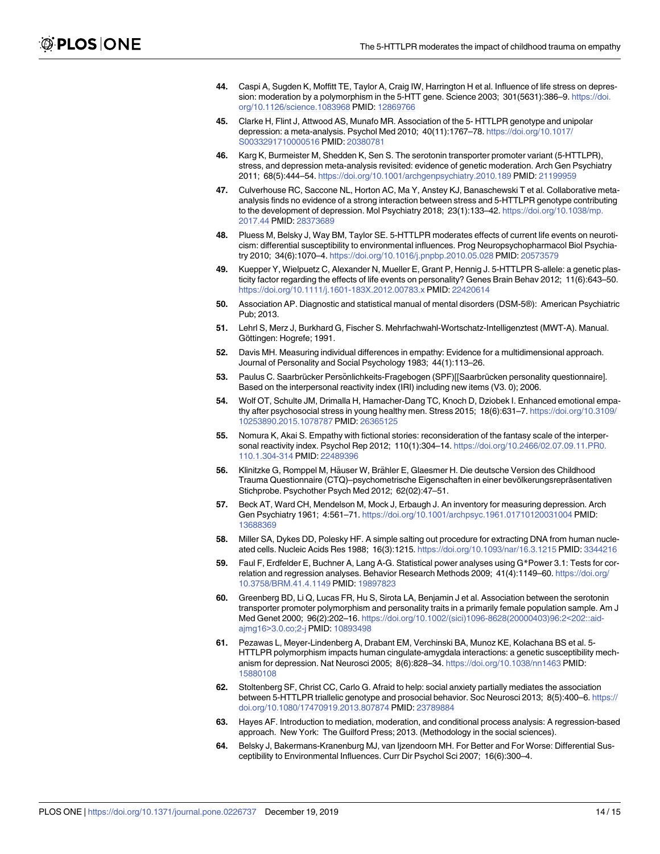- <span id="page-13-0"></span>**[44](#page-1-0).** Caspi A, Sugden K, Moffitt TE, Taylor A, Craig IW, Harrington H et al. Influence of life stress on depression: moderation by a polymorphism in the 5-HTT gene. Science 2003; 301(5631):386–9. [https://doi.](https://doi.org/10.1126/science.1083968) [org/10.1126/science.1083968](https://doi.org/10.1126/science.1083968) PMID: [12869766](http://www.ncbi.nlm.nih.gov/pubmed/12869766)
- **[45](#page-1-0).** Clarke H, Flint J, Attwood AS, Munafo MR. Association of the 5- HTTLPR genotype and unipolar depression: a meta-analysis. Psychol Med 2010; 40(11):1767–78. [https://doi.org/10.1017/](https://doi.org/10.1017/S0033291710000516) [S0033291710000516](https://doi.org/10.1017/S0033291710000516) PMID: [20380781](http://www.ncbi.nlm.nih.gov/pubmed/20380781)
- **[46](#page-1-0).** Karg K, Burmeister M, Shedden K, Sen S. The serotonin transporter promoter variant (5-HTTLPR), stress, and depression meta-analysis revisited: evidence of genetic moderation. Arch Gen Psychiatry 2011; 68(5):444–54. <https://doi.org/10.1001/archgenpsychiatry.2010.189> PMID: [21199959](http://www.ncbi.nlm.nih.gov/pubmed/21199959)
- **[47](#page-1-0).** Culverhouse RC, Saccone NL, Horton AC, Ma Y, Anstey KJ, Banaschewski T et al. Collaborative metaanalysis finds no evidence of a strong interaction between stress and 5-HTTLPR genotype contributing to the development of depression. Mol Psychiatry 2018; 23(1):133–42. [https://doi.org/10.1038/mp.](https://doi.org/10.1038/mp.2017.44) [2017.44](https://doi.org/10.1038/mp.2017.44) PMID: [28373689](http://www.ncbi.nlm.nih.gov/pubmed/28373689)
- **[48](#page-1-0).** Pluess M, Belsky J, Way BM, Taylor SE. 5-HTTLPR moderates effects of current life events on neuroticism: differential susceptibility to environmental influences. Prog Neuropsychopharmacol Biol Psychiatry 2010; 34(6):1070–4. <https://doi.org/10.1016/j.pnpbp.2010.05.028> PMID: [20573579](http://www.ncbi.nlm.nih.gov/pubmed/20573579)
- **[49](#page-1-0).** Kuepper Y, Wielpuetz C, Alexander N, Mueller E, Grant P, Hennig J. 5-HTTLPR S-allele: a genetic plasticity factor regarding the effects of life events on personality? Genes Brain Behav 2012; 11(6):643–50. <https://doi.org/10.1111/j.1601-183X.2012.00783.x> PMID: [22420614](http://www.ncbi.nlm.nih.gov/pubmed/22420614)
- **[50](#page-2-0).** Association AP. Diagnostic and statistical manual of mental disorders (DSM-5®): American Psychiatric Pub; 2013.
- **[51](#page-2-0).** Lehrl S, Merz J, Burkhard G, Fischer S. Mehrfachwahl-Wortschatz-Intelligenztest (MWT-A). Manual. Göttingen: Hogrefe; 1991.
- **[52](#page-2-0).** Davis MH. Measuring individual differences in empathy: Evidence for a multidimensional approach. Journal of Personality and Social Psychology 1983; 44(1):113–26.
- **[53](#page-2-0).** Paulus C. Saarbrücker Persönlichkeits-Fragebogen (SPF)[[Saarbrücken personality questionnaire]. Based on the interpersonal reactivity index (IRI) including new items (V3. 0); 2006.
- **[54](#page-3-0).** Wolf OT, Schulte JM, Drimalla H, Hamacher-Dang TC, Knoch D, Dziobek I. Enhanced emotional empathy after psychosocial stress in young healthy men. Stress 2015; 18(6):631–7. [https://doi.org/10.3109/](https://doi.org/10.3109/10253890.2015.1078787) [10253890.2015.1078787](https://doi.org/10.3109/10253890.2015.1078787) PMID: [26365125](http://www.ncbi.nlm.nih.gov/pubmed/26365125)
- **[55](#page-3-0).** Nomura K, Akai S. Empathy with fictional stories: reconsideration of the fantasy scale of the interpersonal reactivity index. Psychol Rep 2012; 110(1):304–14. [https://doi.org/10.2466/02.07.09.11.PR0.](https://doi.org/10.2466/02.07.09.11.PR0.110.1.304-314) [110.1.304-314](https://doi.org/10.2466/02.07.09.11.PR0.110.1.304-314) PMID: [22489396](http://www.ncbi.nlm.nih.gov/pubmed/22489396)
- **[56](#page-3-0).** Klinitzke G, Romppel M, Häuser W, Brähler E, Glaesmer H. Die deutsche Version des Childhood Trauma Questionnaire (CTQ)–psychometrische Eigenschaften in einer bevölkerungsrepräsentativen Stichprobe. Psychother Psych Med 2012; 62(02):47–51.
- **[57](#page-3-0).** Beck AT, Ward CH, Mendelson M, Mock J, Erbaugh J. An inventory for measuring depression. Arch Gen Psychiatry 1961; 4:561–71. <https://doi.org/10.1001/archpsyc.1961.01710120031004> PMID: [13688369](http://www.ncbi.nlm.nih.gov/pubmed/13688369)
- **[58](#page-3-0).** Miller SA, Dykes DD, Polesky HF. A simple salting out procedure for extracting DNA from human nucleated cells. Nucleic Acids Res 1988; 16(3):1215. <https://doi.org/10.1093/nar/16.3.1215> PMID: [3344216](http://www.ncbi.nlm.nih.gov/pubmed/3344216)
- **[59](#page-3-0).** Faul F, Erdfelder E, Buchner A, Lang A-G. Statistical power analyses using G\*Power 3.1: Tests for correlation and regression analyses. Behavior Research Methods 2009; 41(4):1149–60. [https://doi.org/](https://doi.org/10.3758/BRM.41.4.1149) [10.3758/BRM.41.4.1149](https://doi.org/10.3758/BRM.41.4.1149) PMID: [19897823](http://www.ncbi.nlm.nih.gov/pubmed/19897823)
- **[60](#page-3-0).** Greenberg BD, Li Q, Lucas FR, Hu S, Sirota LA, Benjamin J et al. Association between the serotonin transporter promoter polymorphism and personality traits in a primarily female population sample. Am J Med Genet 2000; 96(2):202–16. [https://doi.org/10.1002/\(sici\)1096-8628\(20000403\)96:2](https://doi.org/10.1002/(sici)1096-8628(20000403)96:2<202::aid-ajmg16>3.0.co;2-j)<202::aidajmg16>[3.0.co;2-j](https://doi.org/10.1002/(sici)1096-8628(20000403)96:2<202::aid-ajmg16>3.0.co;2-j) PMID: [10893498](http://www.ncbi.nlm.nih.gov/pubmed/10893498)
- **61.** Pezawas L, Meyer-Lindenberg A, Drabant EM, Verchinski BA, Munoz KE, Kolachana BS et al. 5- HTTLPR polymorphism impacts human cingulate-amygdala interactions: a genetic susceptibility mechanism for depression. Nat Neurosci 2005; 8(6):828–34. <https://doi.org/10.1038/nn1463> PMID: [15880108](http://www.ncbi.nlm.nih.gov/pubmed/15880108)
- **[62](#page-3-0).** Stoltenberg SF, Christ CC, Carlo G. Afraid to help: social anxiety partially mediates the association between 5-HTTLPR triallelic genotype and prosocial behavior. Soc Neurosci 2013; 8(5):400–6. [https://](https://doi.org/10.1080/17470919.2013.807874) [doi.org/10.1080/17470919.2013.807874](https://doi.org/10.1080/17470919.2013.807874) PMID: [23789884](http://www.ncbi.nlm.nih.gov/pubmed/23789884)
- **[63](#page-3-0).** Hayes AF. Introduction to mediation, moderation, and conditional process analysis: A regression-based approach. New York: The Guilford Press; 2013. (Methodology in the social sciences).
- **[64](#page-5-0).** Belsky J, Bakermans-Kranenburg MJ, van Ijzendoorn MH. For Better and For Worse: Differential Susceptibility to Environmental Influences. Curr Dir Psychol Sci 2007; 16(6):300–4.